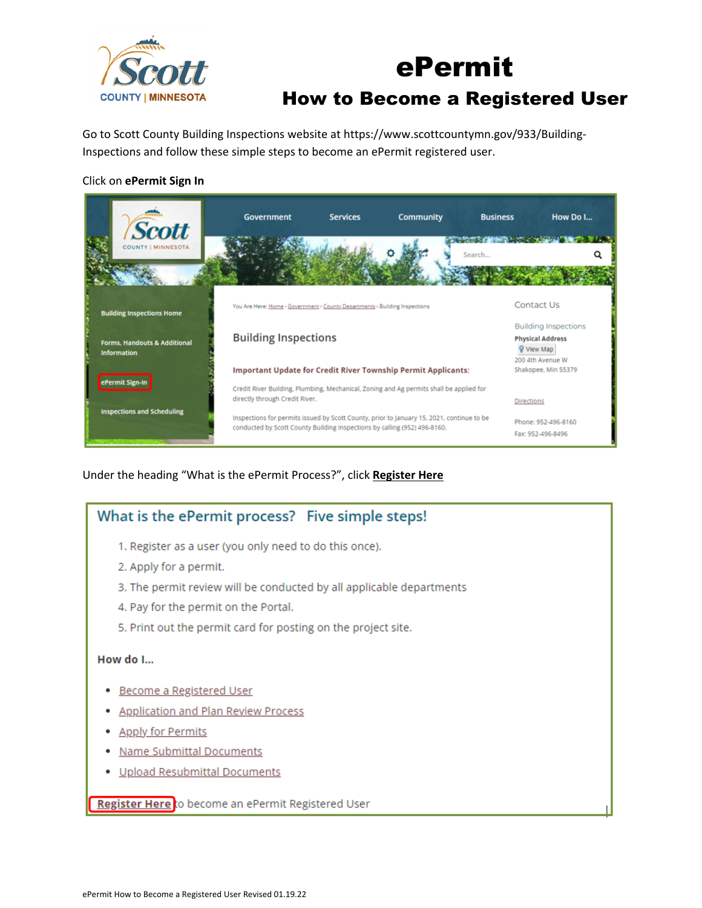

# ePermit How to Become a Registered User

Go to Scott County Building Inspections website at https://www.scottcountymn.gov/933/Building-Inspections and follow these simple steps to become an ePermit registered user.

### Click on **ePermit Sign In**



Under the heading "What is the ePermit Process?", click **Register Here**

## What is the ePermit process? Five simple steps!

- 1. Register as a user (you only need to do this once).
- 2. Apply for a permit.
- 3. The permit review will be conducted by all applicable departments
- 4. Pay for the permit on the Portal.
- 5. Print out the permit card for posting on the project site.

#### How do I...

- Become a Registered User
- **Application and Plan Review Process**
- Apply for Permits
- **Name Submittal Documents**
- Upload Resubmittal Documents

Register Here to become an ePermit Registered User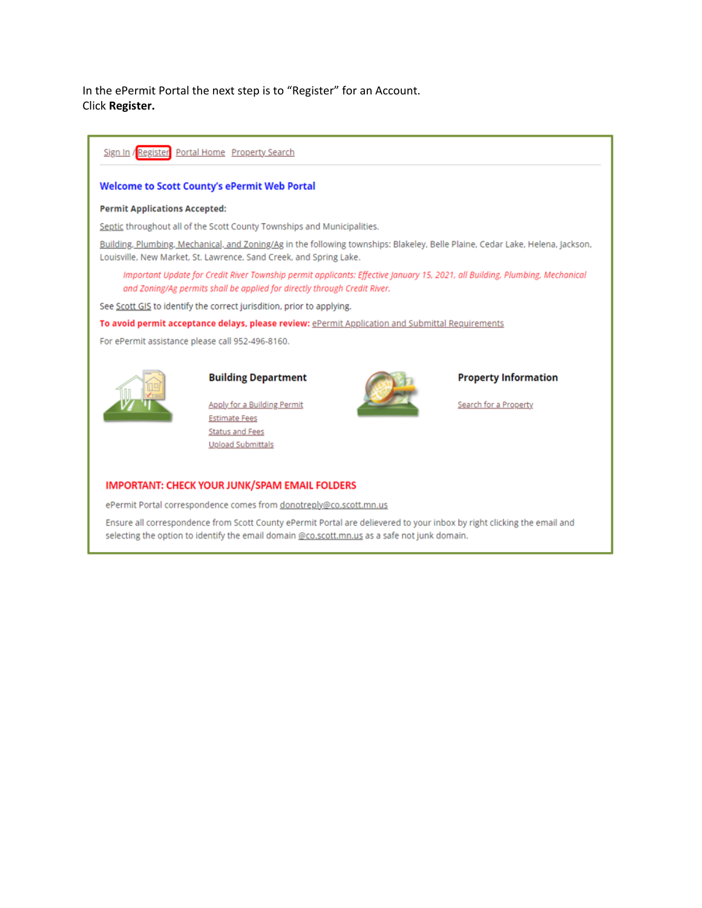In the ePermit Portal the next step is to "Register" for an Account. Click **Register.**



#### **IMPORTANT: CHECK YOUR JUNK/SPAM EMAIL FOLDERS**

ePermit Portal correspondence comes from donotreply@co.scott.mn.us

Ensure all correspondence from Scott County ePermit Portal are delievered to your inbox by right clicking the email and selecting the option to identify the email domain @co.scott.mn.us as a safe not junk domain.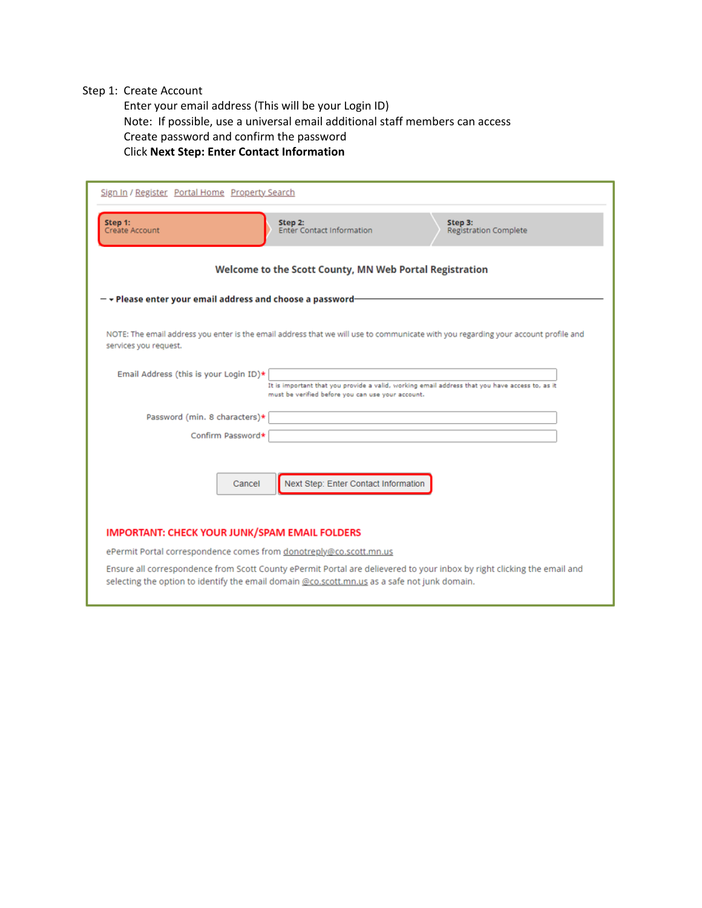#### Step 1: Create Account

Enter your email address (This will be your Login ID) Note: If possible, use a universal email additional staff members can access Create password and confirm the password Click **Next Step: Enter Contact Information**

| Sign In / Register Portal Home Property Search                     |                                                                                                                                                                                                                         |  |  |  |
|--------------------------------------------------------------------|-------------------------------------------------------------------------------------------------------------------------------------------------------------------------------------------------------------------------|--|--|--|
| Step 1:<br>Create Account                                          | Step 2:<br>Step 3:<br><b>Enter Contact Information</b><br><b>Registration Complete</b>                                                                                                                                  |  |  |  |
| Welcome to the Scott County, MN Web Portal Registration            |                                                                                                                                                                                                                         |  |  |  |
| $ \star$ Please enter your email address and choose a password-    |                                                                                                                                                                                                                         |  |  |  |
| services you request.                                              | NOTE: The email address you enter is the email address that we will use to communicate with you regarding your account profile and                                                                                      |  |  |  |
| Email Address (this is your Login ID)*                             | It is important that you provide a valid, working email address that you have access to, as it<br>must be verified before you can use your account.                                                                     |  |  |  |
| Password (min. 8 characters)*                                      |                                                                                                                                                                                                                         |  |  |  |
| Confirm Password*                                                  |                                                                                                                                                                                                                         |  |  |  |
| Cancel                                                             | Next Step: Enter Contact Information                                                                                                                                                                                    |  |  |  |
| <b>IMPORTANT: CHECK YOUR JUNK/SPAM EMAIL FOLDERS</b>               |                                                                                                                                                                                                                         |  |  |  |
| ePermit Portal correspondence comes from donotreply@co.scott.mn.us |                                                                                                                                                                                                                         |  |  |  |
|                                                                    | Ensure all correspondence from Scott County ePermit Portal are delievered to your inbox by right clicking the email and<br>selecting the option to identify the email domain @co.scott.mn.us as a safe not junk domain. |  |  |  |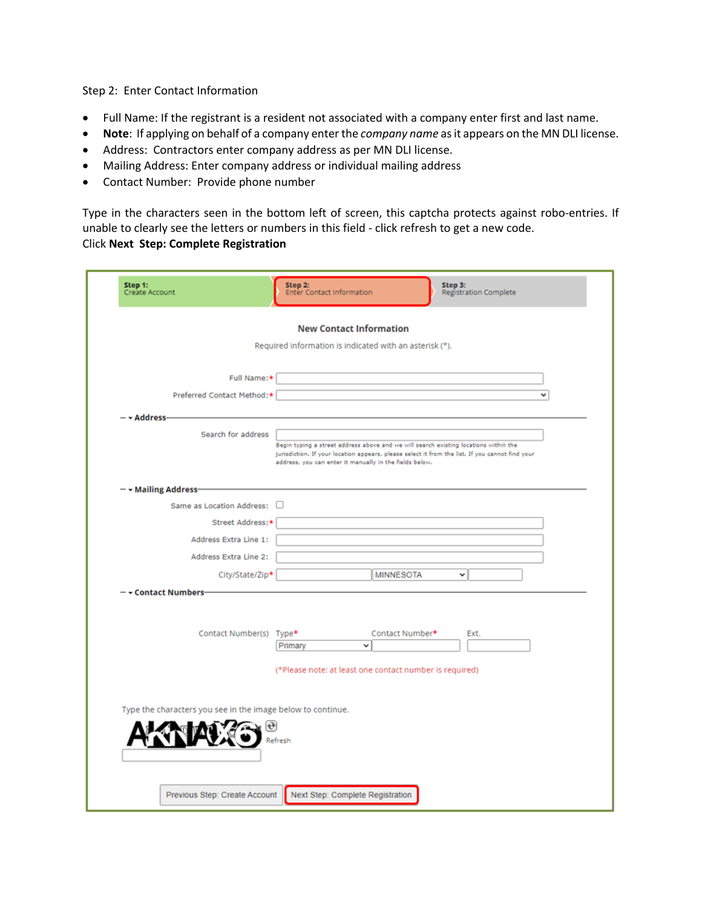Step 2: Enter Contact Information

- Full Name: If the registrant is a resident not associated with a company enter first and last name.
- **Note**: If applying on behalf of a company enter the *company name* as it appears on the MN DLI license.
- Address: Contractors enter company address as per MN DLI license.
- Mailing Address: Enter company address or individual mailing address
- Contact Number: Provide phone number

Type in the characters seen in the bottom left of screen, this captcha protects against robo-entries. If unable to clearly see the letters or numbers in this field - click refresh to get a new code. Click **Next Step: Complete Registration**

| Create Account                                              | <b>Registration Complete</b><br><b>Enter Contact Information</b>                                                                                                                                                                                   |  |  |  |
|-------------------------------------------------------------|----------------------------------------------------------------------------------------------------------------------------------------------------------------------------------------------------------------------------------------------------|--|--|--|
| <b>New Contact Information</b>                              |                                                                                                                                                                                                                                                    |  |  |  |
|                                                             | Required information is indicated with an asterisk (*).                                                                                                                                                                                            |  |  |  |
| Full Name:*                                                 |                                                                                                                                                                                                                                                    |  |  |  |
| Preferred Contact Method:*                                  | v                                                                                                                                                                                                                                                  |  |  |  |
| - <del>-</del> Address-                                     |                                                                                                                                                                                                                                                    |  |  |  |
| Search for address                                          | Begin typing a street address above and we will search existing locations within the<br>jurisdiction. If your location appears, please select it from the list. If you cannot find your<br>address, you can enter it manually in the fields below. |  |  |  |
| - v Mailing Address-                                        |                                                                                                                                                                                                                                                    |  |  |  |
| Same as Location Address:                                   | п                                                                                                                                                                                                                                                  |  |  |  |
| Street Address:*                                            |                                                                                                                                                                                                                                                    |  |  |  |
| Address Extra Line 1:                                       |                                                                                                                                                                                                                                                    |  |  |  |
| Address Extra Line 2:                                       |                                                                                                                                                                                                                                                    |  |  |  |
| City/State/Zip*                                             | <b>MINNESOTA</b><br>v                                                                                                                                                                                                                              |  |  |  |
| - Contact Numbers-<br>Contact Number(s) Type*               | Contact Number*<br>Ext.<br>Primary<br>v<br>(*Please note: at least one contact number is required)                                                                                                                                                 |  |  |  |
| Type the characters you see in the image below to continue. | Refresh                                                                                                                                                                                                                                            |  |  |  |
| Previous Step: Create Account                               | Next Step: Complete Registration                                                                                                                                                                                                                   |  |  |  |